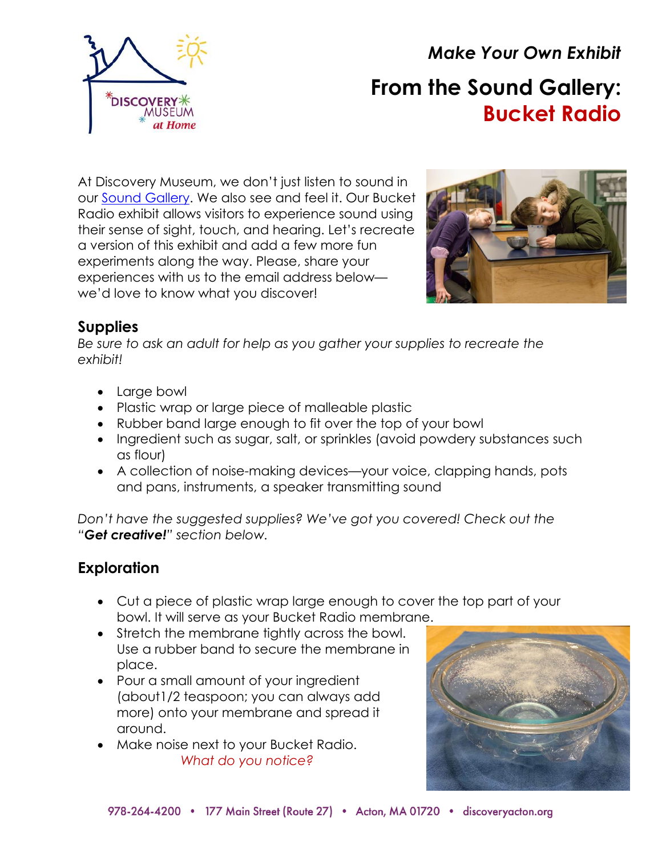

*Make Your Own Exhibit* **From the Sound Gallery: Bucket Radio**

At Discovery Museum, we don't just listen to sound in our [Sound Gallery.](https://www.discoveryacton.org/exhibit/sound-gallery) We also see and feel it. Our Bucket Radio exhibit allows visitors to experience sound using their sense of sight, touch, and hearing. Let's recreate a version of this exhibit and add a few more fun experiments along the way. Please, share your experiences with us to the email address below we'd love to know what you discover!



## **Supplies**

*Be sure to ask an adult for help as you gather your supplies to recreate the exhibit!*

- Large bowl
- Plastic wrap or large piece of malleable plastic
- Rubber band large enough to fit over the top of your bowl
- Ingredient such as sugar, salt, or sprinkles (avoid powdery substances such as flour)
- A collection of noise-making devices—your voice, clapping hands, pots and pans, instruments, a speaker transmitting sound

*Don't have the suggested supplies? We've got you covered! Check out the "Get creative!" section below.*

# **Exploration**

- Cut a piece of plastic wrap large enough to cover the top part of your bowl. It will serve as your Bucket Radio membrane.
- Stretch the membrane tightly across the bowl. Use a rubber band to secure the membrane in place.
- Pour a small amount of your ingredient (about1/2 teaspoon; you can always add more) onto your membrane and spread it around.
- Make noise next to your Bucket Radio. *What do you notice?*

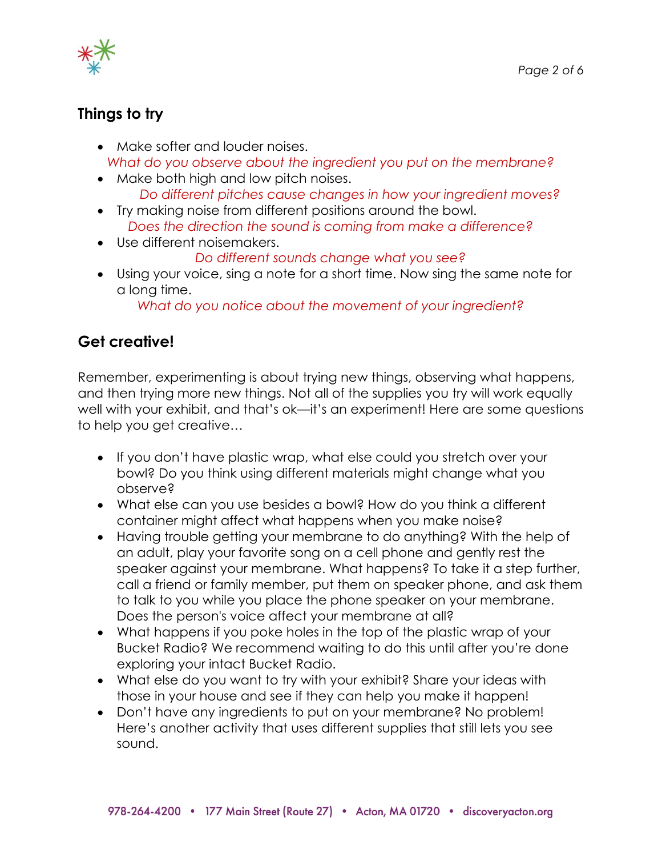

## **Things to try**

- Make softer and louder noises. *What do you observe about the ingredient you put on the membrane?*
- Make both high and low pitch noises. *Do different pitches cause changes in how your ingredient moves?*
- Try making noise from different positions around the bowl. *Does the direction the sound is coming from make a difference?*
- Use different noisemakers.

#### *Do different sounds change what you see?*

• Using your voice, sing a note for a short time. Now sing the same note for a long time.

*What do you notice about the movement of your ingredient?*

## **Get creative!**

Remember, experimenting is about trying new things, observing what happens, and then trying more new things. Not all of the supplies you try will work equally well with your exhibit, and that's ok—it's an experiment! Here are some questions to help you get creative…

- If you don't have plastic wrap, what else could you stretch over your bowl? Do you think using different materials might change what you observe?
- What else can you use besides a bowl? How do you think a different container might affect what happens when you make noise?
- Having trouble getting your membrane to do anything? With the help of an adult, play your favorite song on a cell phone and gently rest the speaker against your membrane. What happens? To take it a step further, call a friend or family member, put them on speaker phone, and ask them to talk to you while you place the phone speaker on your membrane. Does the person's voice affect your membrane at all?
- What happens if you poke holes in the top of the plastic wrap of your Bucket Radio? We recommend waiting to do this until after you're done exploring your intact Bucket Radio.
- What else do you want to try with your exhibit? Share your ideas with those in your house and see if they can help you make it happen!
- Don't have any ingredients to put on your membrane? No problem! Here's another activity that uses different supplies that still lets you see sound.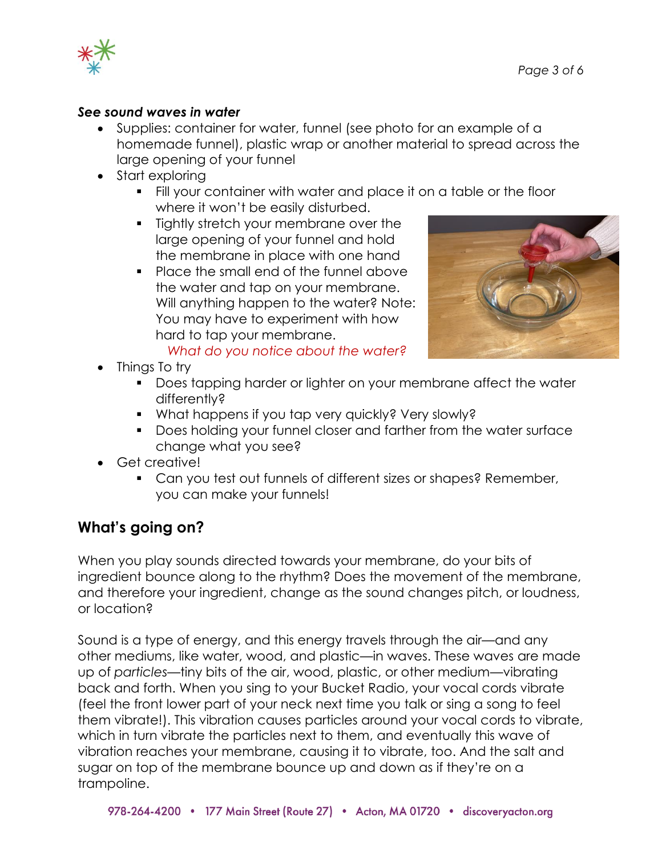

#### *See sound waves in water*

- Supplies: container for water, funnel (see photo for an example of a homemade funnel), plastic wrap or another material to spread across the large opening of your funnel
- Start exploring
	- Fill your container with water and place it on a table or the floor where it won't be easily disturbed.
	- **•** Tightly stretch your membrane over the large opening of your funnel and hold the membrane in place with one hand
	- Place the small end of the funnel above the water and tap on your membrane. Will anything happen to the water? Note: You may have to experiment with how hard to tap your membrane. *What do you notice about the water?*

- Things To try
	- Does tapping harder or lighter on your membrane affect the water differently?
	- What happens if you tap very quickly? Very slowly?
	- Does holding your funnel closer and farther from the water surface change what you see?
- Get creative!
	- Can you test out funnels of different sizes or shapes? Remember, you can make your funnels!

## **What's going on?**

When you play sounds directed towards your membrane, do your bits of ingredient bounce along to the rhythm? Does the movement of the membrane, and therefore your ingredient, change as the sound changes pitch, or loudness, or location?

Sound is a type of energy, and this energy travels through the air—and any other mediums, like water, wood, and plastic—in waves. These waves are made up of *particles*—tiny bits of the air, wood, plastic, or other medium—vibrating back and forth. When you sing to your Bucket Radio, your vocal cords vibrate (feel the front lower part of your neck next time you talk or sing a song to feel them vibrate!). This vibration causes particles around your vocal cords to vibrate, which in turn vibrate the particles next to them, and eventually this wave of vibration reaches your membrane, causing it to vibrate, too. And the salt and sugar on top of the membrane bounce up and down as if they're on a trampoline.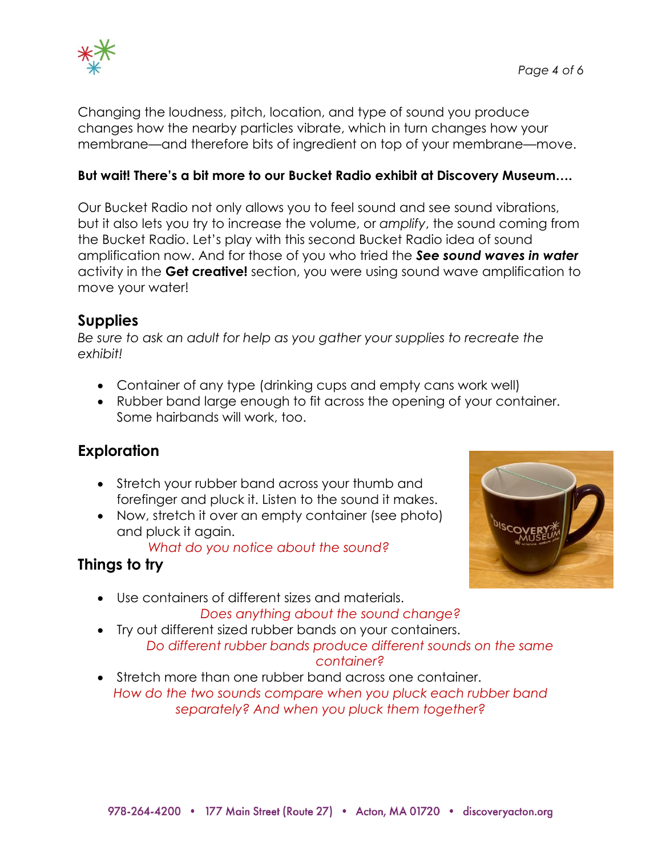



Changing the loudness, pitch, location, and type of sound you produce changes how the nearby particles vibrate, which in turn changes how your membrane—and therefore bits of ingredient on top of your membrane—move.

#### **But wait! There's a bit more to our Bucket Radio exhibit at Discovery Museum….**

Our Bucket Radio not only allows you to feel sound and see sound vibrations, but it also lets you try to increase the volume, or *amplify*, the sound coming from the Bucket Radio. Let's play with this second Bucket Radio idea of sound amplification now. And for those of you who tried the *See sound waves in water*  activity in the **Get creative!** section, you were using sound wave amplification to move your water!

#### **Supplies**

*Be sure to ask an adult for help as you gather your supplies to recreate the exhibit!*

- Container of any type (drinking cups and empty cans work well)
- Rubber band large enough to fit across the opening of your container. Some hairbands will work, too.

### **Exploration**

- Stretch your rubber band across your thumb and forefinger and pluck it. Listen to the sound it makes.
- Now, stretch it over an empty container (see photo) and pluck it again.

*What do you notice about the sound?*

## **Things to try**

- Use containers of different sizes and materials. *Does anything about the sound change?*
- Try out different sized rubber bands on your containers. *Do different rubber bands produce different sounds on the same*
- 
- *container?*
- Stretch more than one rubber band across one container. *How do the two sounds compare when you pluck each rubber band separately? And when you pluck them together?*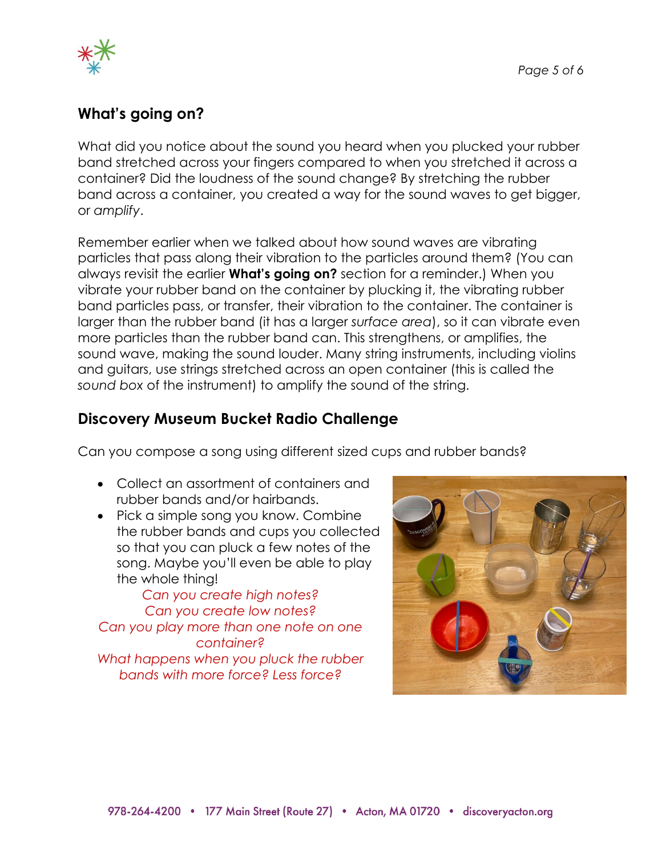

### **What's going on?**

What did you notice about the sound you heard when you plucked your rubber band stretched across your fingers compared to when you stretched it across a container? Did the loudness of the sound change? By stretching the rubber band across a container, you created a way for the sound waves to get bigger, or *amplify*.

Remember earlier when we talked about how sound waves are vibrating particles that pass along their vibration to the particles around them? (You can always revisit the earlier **What's going on?** section for a reminder.) When you vibrate your rubber band on the container by plucking it, the vibrating rubber band particles pass, or transfer, their vibration to the container. The container is larger than the rubber band (it has a larger *surface area*), so it can vibrate even more particles than the rubber band can. This strengthens, or amplifies, the sound wave, making the sound louder. Many string instruments, including violins and guitars, use strings stretched across an open container (this is called the *sound box* of the instrument) to amplify the sound of the string.

### **Discovery Museum Bucket Radio Challenge**

Can you compose a song using different sized cups and rubber bands?

- Collect an assortment of containers and rubber bands and/or hairbands.
- Pick a simple song you know. Combine the rubber bands and cups you collected so that you can pluck a few notes of the song. Maybe you'll even be able to play the whole thing!

*Can you create high notes? Can you create low notes? Can you play more than one note on one container? What happens when you pluck the rubber bands with more force? Less force?*